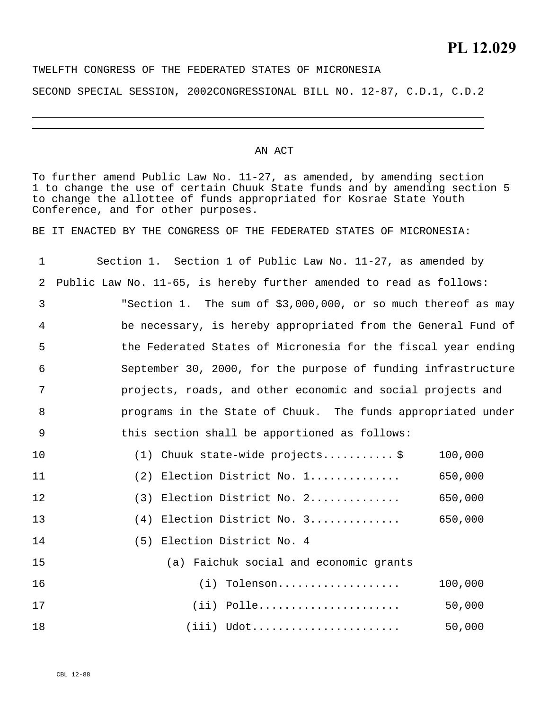## TWELFTH CONGRESS OF THE FEDERATED STATES OF MICRONESIA

SECOND SPECIAL SESSION, 2002CONGRESSIONAL BILL NO. 12-87, C.D.1, C.D.2

## AN ACT

To further amend Public Law No. 11-27, as amended, by amending section 1 to change the use of certain Chuuk State funds and by amending section 5 to change the allottee of funds appropriated for Kosrae State Youth Conference, and for other purposes.

BE IT ENACTED BY THE CONGRESS OF THE FEDERATED STATES OF MICRONESIA:

| 1  | Section 1. Section 1 of Public Law No. 11-27, as amended by         |  |  |  |  |  |  |  |
|----|---------------------------------------------------------------------|--|--|--|--|--|--|--|
| 2  | Public Law No. 11-65, is hereby further amended to read as follows: |  |  |  |  |  |  |  |
| 3  | "Section 1. The sum of \$3,000,000, or so much thereof as may       |  |  |  |  |  |  |  |
| 4  | be necessary, is hereby appropriated from the General Fund of       |  |  |  |  |  |  |  |
| 5  | the Federated States of Micronesia for the fiscal year ending       |  |  |  |  |  |  |  |
| 6  | September 30, 2000, for the purpose of funding infrastructure       |  |  |  |  |  |  |  |
| 7  | projects, roads, and other economic and social projects and         |  |  |  |  |  |  |  |
| 8  | programs in the State of Chuuk. The funds appropriated under        |  |  |  |  |  |  |  |
| 9  | this section shall be apportioned as follows:                       |  |  |  |  |  |  |  |
| 10 | $(1)$ Chuuk state-wide projects\$<br>100,000                        |  |  |  |  |  |  |  |
| 11 | (2) Election District No. 1<br>650,000                              |  |  |  |  |  |  |  |
| 12 | (3) Election District No. 2<br>650,000                              |  |  |  |  |  |  |  |
| 13 | $(4)$ Election District No. 3<br>650,000                            |  |  |  |  |  |  |  |
| 14 | (5) Election District No. 4                                         |  |  |  |  |  |  |  |
| 15 | (a) Faichuk social and economic grants                              |  |  |  |  |  |  |  |
| 16 | 100,000<br>$(i)$ Tolenson                                           |  |  |  |  |  |  |  |
| 17 | $(iii)$ Polle<br>50,000                                             |  |  |  |  |  |  |  |
| 18 | $(iii)$ Udot<br>50,000                                              |  |  |  |  |  |  |  |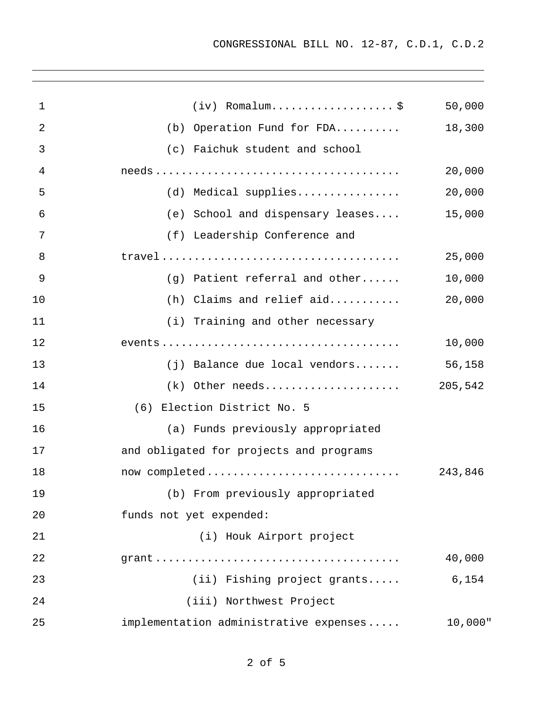| $\mathbf 1$    | $(iv)$ Romalum\$                                                                                   | 50,000  |
|----------------|----------------------------------------------------------------------------------------------------|---------|
| $\overline{2}$ | (b) Operation Fund for FDA                                                                         | 18,300  |
| 3              | (c) Faichuk student and school                                                                     |         |
| 4              |                                                                                                    | 20,000  |
| 5              | (d) Medical supplies                                                                               | 20,000  |
| 6              | (e) School and dispensary leases                                                                   | 15,000  |
| 7              | (f) Leadership Conference and                                                                      |         |
| 8              | $travel \dots \dots \dots \dots \dots \dots \dots \dots \dots \dots \dots \dots \dots \dots \dots$ | 25,000  |
| 9              | (g) Patient referral and other                                                                     | 10,000  |
| 10             | $(h)$ Claims and relief aid                                                                        | 20,000  |
| 11             | (i) Training and other necessary                                                                   |         |
| 12             |                                                                                                    | 10,000  |
| 13             | $(j)$ Balance due local vendors                                                                    | 56,158  |
| 14             | $(k)$ Other needs 205,542                                                                          |         |
| 15             | (6) Election District No. 5                                                                        |         |
| 16             | (a) Funds previously appropriated                                                                  |         |
| 17             | and obligated for projects and programs                                                            |         |
| 18             | now completed                                                                                      | 243,846 |
| 19             | (b) From previously appropriated                                                                   |         |
| 20             | funds not yet expended:                                                                            |         |
| 21             | (i) Houk Airport project                                                                           |         |
| 22             |                                                                                                    | 40,000  |
| 23             | (ii) Fishing project grants                                                                        | 6,154   |
| 24             | (iii) Northwest Project                                                                            |         |
| 25             | implementation administrative expenses                                                             | 10,000" |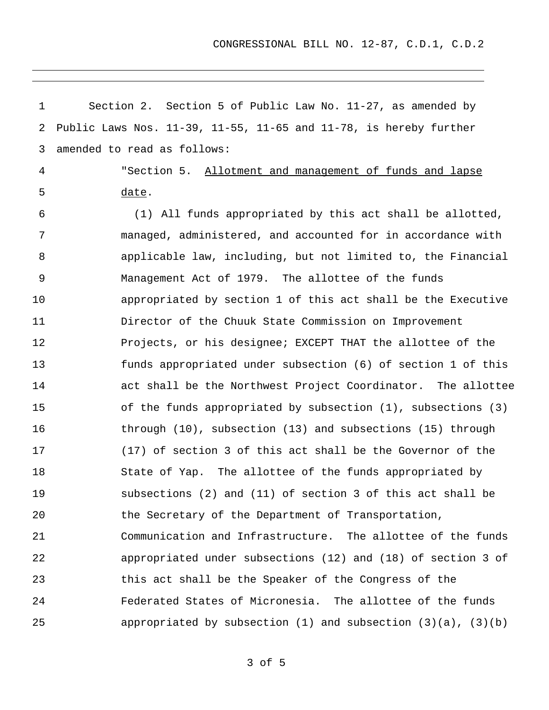CONGRESSIONAL BILL NO. 12-87, C.D.1, C.D.2

| 1              | Section 2. Section 5 of Public Law No. 11-27, as amended by                  |
|----------------|------------------------------------------------------------------------------|
| 2              | Public Laws Nos. $11-39$ , $11-55$ , $11-65$ and $11-78$ , is hereby further |
| 3              | amended to read as follows:                                                  |
| $\overline{4}$ | "Section 5. Allotment and management of funds and lapse                      |
| 5              | date.                                                                        |
| 6              | (1) All funds appropriated by this act shall be allotted,                    |
| 7              | managed, administered, and accounted for in accordance with                  |
| 8              | applicable law, including, but not limited to, the Financial                 |
| 9              | Management Act of 1979. The allottee of the funds                            |
| 10             | appropriated by section 1 of this act shall be the Executive                 |
| 11             | Director of the Chuuk State Commission on Improvement                        |
| 12             | Projects, or his designee; EXCEPT THAT the allottee of the                   |
| 13             | funds appropriated under subsection (6) of section 1 of this                 |
| 14             | act shall be the Northwest Project Coordinator. The allottee                 |
| 15             | of the funds appropriated by subsection (1), subsections (3)                 |
| 16             | through $(10)$ , subsection $(13)$ and subsections $(15)$ through            |
| 17             | (17) of section 3 of this act shall be the Governor of the                   |
| 18             | State of Yap. The allottee of the funds appropriated by                      |
| 19             | subsections (2) and (11) of section 3 of this act shall be                   |
| 20             | the Secretary of the Department of Transportation,                           |
| 21             | Communication and Infrastructure. The allottee of the funds                  |
| 22             | appropriated under subsections (12) and (18) of section 3 of                 |
| 23             | this act shall be the Speaker of the Congress of the                         |
| 24             | Federated States of Micronesia. The allottee of the funds                    |
| 25             | appropriated by subsection $(1)$ and subsection $(3)(a)$ , $(3)(b)$          |

3 of 5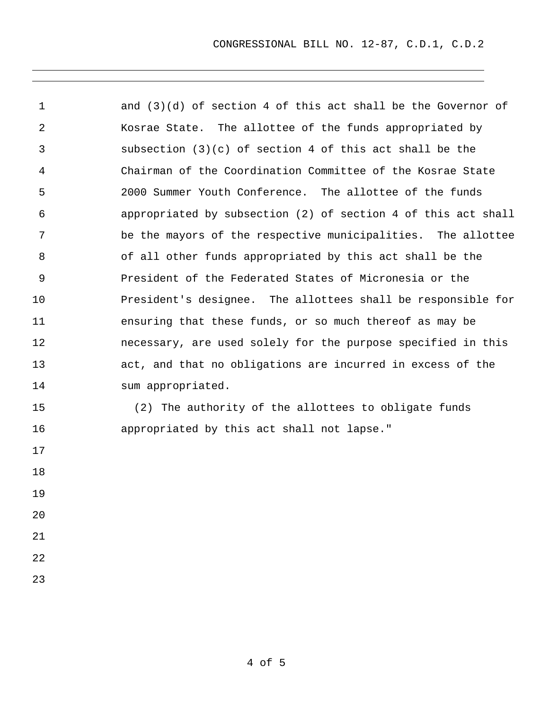1 2 3 4 5 6 7 8 9 10 11 12 13 14 15 16 17 18 19 20 21 and (3)(d) of section 4 of this act shall be the Governor of Kosrae State. The allottee of the funds appropriated by subsection (3)(c) of section 4 of this act shall be the Chairman of the Coordination Committee of the Kosrae State 2000 Summer Youth Conference.The allottee of the funds appropriated by subsection (2) of section 4 of this act shall be the mayors of the respective municipalities. The allottee of all other funds appropriated by this act shall be the President of the Federated States of Micronesia or the President's designee. The allottees shall be responsible for ensuring that these funds, or so much thereof as may be necessary, are used solely for the purpose specified in this act, and that no obligations are incurred in excess of the sum appropriated. (2) The authority of the allottees to obligate funds appropriated by this act shall not lapse."

23

22